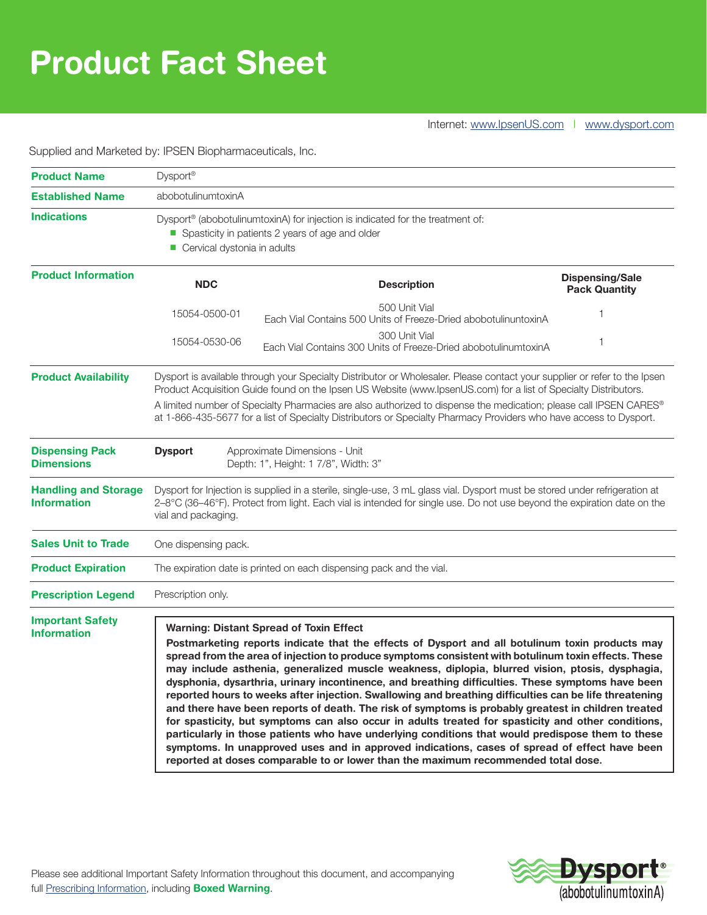# **Product Fact Sheet**

Supplied and Marketed by: IPSEN Biopharmaceuticals, Inc.

| <b>Product Name</b>                               | Dysport <sup>®</sup>                                                                                                                                                                                                                                                                                                                                                                                                                                                                                                                                                                                                                                                                                                                                                                                                                                                                                                                                                                                                                                                                |                                                                                  |                                                |
|---------------------------------------------------|-------------------------------------------------------------------------------------------------------------------------------------------------------------------------------------------------------------------------------------------------------------------------------------------------------------------------------------------------------------------------------------------------------------------------------------------------------------------------------------------------------------------------------------------------------------------------------------------------------------------------------------------------------------------------------------------------------------------------------------------------------------------------------------------------------------------------------------------------------------------------------------------------------------------------------------------------------------------------------------------------------------------------------------------------------------------------------------|----------------------------------------------------------------------------------|------------------------------------------------|
| <b>Established Name</b>                           | abobotulinumtoxinA                                                                                                                                                                                                                                                                                                                                                                                                                                                                                                                                                                                                                                                                                                                                                                                                                                                                                                                                                                                                                                                                  |                                                                                  |                                                |
| <b>Indications</b>                                | Dysport <sup>®</sup> (abobotulinumtoxinA) for injection is indicated for the treatment of:<br>Spasticity in patients 2 years of age and older<br>Cervical dystonia in adults                                                                                                                                                                                                                                                                                                                                                                                                                                                                                                                                                                                                                                                                                                                                                                                                                                                                                                        |                                                                                  |                                                |
| <b>Product Information</b>                        | <b>NDC</b>                                                                                                                                                                                                                                                                                                                                                                                                                                                                                                                                                                                                                                                                                                                                                                                                                                                                                                                                                                                                                                                                          | <b>Description</b>                                                               | <b>Dispensing/Sale</b><br><b>Pack Quantity</b> |
|                                                   | 15054-0500-01                                                                                                                                                                                                                                                                                                                                                                                                                                                                                                                                                                                                                                                                                                                                                                                                                                                                                                                                                                                                                                                                       | 500 Unit Vial<br>Each Vial Contains 500 Units of Freeze-Dried abobotulinuntoxinA |                                                |
|                                                   | 15054-0530-06                                                                                                                                                                                                                                                                                                                                                                                                                                                                                                                                                                                                                                                                                                                                                                                                                                                                                                                                                                                                                                                                       | 300 Unit Vial<br>Each Vial Contains 300 Units of Freeze-Dried abobotulinumtoxinA |                                                |
| <b>Product Availability</b>                       | Dysport is available through your Specialty Distributor or Wholesaler. Please contact your supplier or refer to the Ipsen<br>Product Acquisition Guide found on the Ipsen US Website (www.IpsenUS.com) for a list of Specialty Distributors.<br>A limited number of Specialty Pharmacies are also authorized to dispense the medication; please call IPSEN CARES®<br>at 1-866-435-5677 for a list of Specialty Distributors or Specialty Pharmacy Providers who have access to Dysport.                                                                                                                                                                                                                                                                                                                                                                                                                                                                                                                                                                                             |                                                                                  |                                                |
| <b>Dispensing Pack</b><br><b>Dimensions</b>       | <b>Dysport</b><br>Approximate Dimensions - Unit<br>Depth: 1", Height: 1 7/8", Width: 3"                                                                                                                                                                                                                                                                                                                                                                                                                                                                                                                                                                                                                                                                                                                                                                                                                                                                                                                                                                                             |                                                                                  |                                                |
| <b>Handling and Storage</b><br><b>Information</b> | Dysport for Injection is supplied in a sterile, single-use, 3 mL glass vial. Dysport must be stored under refrigeration at<br>2-8°C (36-46°F). Protect from light. Each vial is intended for single use. Do not use beyond the expiration date on the<br>vial and packaging.                                                                                                                                                                                                                                                                                                                                                                                                                                                                                                                                                                                                                                                                                                                                                                                                        |                                                                                  |                                                |
| <b>Sales Unit to Trade</b>                        | One dispensing pack.                                                                                                                                                                                                                                                                                                                                                                                                                                                                                                                                                                                                                                                                                                                                                                                                                                                                                                                                                                                                                                                                |                                                                                  |                                                |
| <b>Product Expiration</b>                         | The expiration date is printed on each dispensing pack and the vial.                                                                                                                                                                                                                                                                                                                                                                                                                                                                                                                                                                                                                                                                                                                                                                                                                                                                                                                                                                                                                |                                                                                  |                                                |
| <b>Prescription Legend</b>                        | Prescription only.                                                                                                                                                                                                                                                                                                                                                                                                                                                                                                                                                                                                                                                                                                                                                                                                                                                                                                                                                                                                                                                                  |                                                                                  |                                                |
| <b>Important Safety</b><br><b>Information</b>     | <b>Warning: Distant Spread of Toxin Effect</b><br>Postmarketing reports indicate that the effects of Dysport and all botulinum toxin products may<br>spread from the area of injection to produce symptoms consistent with botulinum toxin effects. These<br>may include asthenia, generalized muscle weakness, diplopia, blurred vision, ptosis, dysphagia,<br>dysphonia, dysarthria, urinary incontinence, and breathing difficulties. These symptoms have been<br>reported hours to weeks after injection. Swallowing and breathing difficulties can be life threatening<br>and there have been reports of death. The risk of symptoms is probably greatest in children treated<br>for spasticity, but symptoms can also occur in adults treated for spasticity and other conditions,<br>particularly in those patients who have underlying conditions that would predispose them to these<br>symptoms. In unapproved uses and in approved indications, cases of spread of effect have been<br>reported at doses comparable to or lower than the maximum recommended total dose. |                                                                                  |                                                |

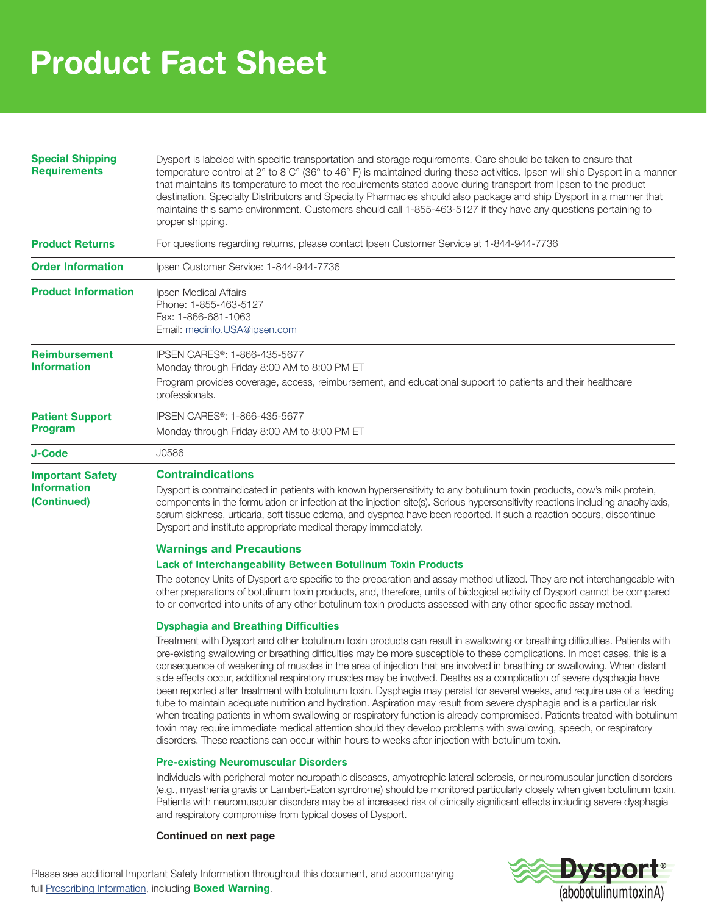# **Product Fact Sheet**

| <b>Special Shipping</b><br><b>Requirements</b>               | Dysport is labeled with specific transportation and storage requirements. Care should be taken to ensure that<br>temperature control at 2° to 8 C° (36° to 46° F) is maintained during these activities. Ipsen will ship Dysport in a manner<br>that maintains its temperature to meet the requirements stated above during transport from Ipsen to the product<br>destination. Specialty Distributors and Specialty Pharmacies should also package and ship Dysport in a manner that<br>maintains this same environment. Customers should call 1-855-463-5127 if they have any questions pertaining to<br>proper shipping.                                                                                                                                                                                                                                                                                                                                                                                                                                                                                                                                                 |  |  |
|--------------------------------------------------------------|-----------------------------------------------------------------------------------------------------------------------------------------------------------------------------------------------------------------------------------------------------------------------------------------------------------------------------------------------------------------------------------------------------------------------------------------------------------------------------------------------------------------------------------------------------------------------------------------------------------------------------------------------------------------------------------------------------------------------------------------------------------------------------------------------------------------------------------------------------------------------------------------------------------------------------------------------------------------------------------------------------------------------------------------------------------------------------------------------------------------------------------------------------------------------------|--|--|
| <b>Product Returns</b>                                       | For questions regarding returns, please contact Ipsen Customer Service at 1-844-944-7736                                                                                                                                                                                                                                                                                                                                                                                                                                                                                                                                                                                                                                                                                                                                                                                                                                                                                                                                                                                                                                                                                    |  |  |
| <b>Order Information</b>                                     | Ipsen Customer Service: 1-844-944-7736                                                                                                                                                                                                                                                                                                                                                                                                                                                                                                                                                                                                                                                                                                                                                                                                                                                                                                                                                                                                                                                                                                                                      |  |  |
| <b>Product Information</b>                                   | Ipsen Medical Affairs<br>Phone: 1-855-463-5127<br>Fax: 1-866-681-1063<br>Email: medinfo.USA@ipsen.com                                                                                                                                                                                                                                                                                                                                                                                                                                                                                                                                                                                                                                                                                                                                                                                                                                                                                                                                                                                                                                                                       |  |  |
| <b>Reimbursement</b><br><b>Information</b>                   | IPSEN CARES <sup>®</sup> : 1-866-435-5677<br>Monday through Friday 8:00 AM to 8:00 PM ET<br>Program provides coverage, access, reimbursement, and educational support to patients and their healthcare<br>professionals.                                                                                                                                                                                                                                                                                                                                                                                                                                                                                                                                                                                                                                                                                                                                                                                                                                                                                                                                                    |  |  |
| <b>Patient Support</b><br><b>Program</b>                     | IPSEN CARES <sup>®</sup> : 1-866-435-5677                                                                                                                                                                                                                                                                                                                                                                                                                                                                                                                                                                                                                                                                                                                                                                                                                                                                                                                                                                                                                                                                                                                                   |  |  |
|                                                              | Monday through Friday 8:00 AM to 8:00 PM ET                                                                                                                                                                                                                                                                                                                                                                                                                                                                                                                                                                                                                                                                                                                                                                                                                                                                                                                                                                                                                                                                                                                                 |  |  |
| <b>J-Code</b>                                                | J0586                                                                                                                                                                                                                                                                                                                                                                                                                                                                                                                                                                                                                                                                                                                                                                                                                                                                                                                                                                                                                                                                                                                                                                       |  |  |
| <b>Important Safety</b><br><b>Information</b><br>(Continued) | <b>Contraindications</b><br>Dysport is contraindicated in patients with known hypersensitivity to any botulinum toxin products, cow's milk protein,<br>components in the formulation or infection at the injection site(s). Serious hypersensitivity reactions including anaphylaxis,<br>serum sickness, urticaria, soft tissue edema, and dyspnea have been reported. If such a reaction occurs, discontinue<br>Dysport and institute appropriate medical therapy immediately.<br><b>Warnings and Precautions</b><br><b>Lack of Interchangeability Between Botulinum Toxin Products</b>                                                                                                                                                                                                                                                                                                                                                                                                                                                                                                                                                                                    |  |  |
|                                                              | The potency Units of Dysport are specific to the preparation and assay method utilized. They are not interchangeable with<br>other preparations of botulinum toxin products, and, therefore, units of biological activity of Dysport cannot be compared<br>to or converted into units of any other botulinum toxin products assessed with any other specific assay method.                                                                                                                                                                                                                                                                                                                                                                                                                                                                                                                                                                                                                                                                                                                                                                                                  |  |  |
|                                                              | <b>Dysphagia and Breathing Difficulties</b><br>Treatment with Dysport and other botulinum toxin products can result in swallowing or breathing difficulties. Patients with<br>pre-existing swallowing or breathing difficulties may be more susceptible to these complications. In most cases, this is a<br>consequence of weakening of muscles in the area of injection that are involved in breathing or swallowing. When distant<br>side effects occur, additional respiratory muscles may be involved. Deaths as a complication of severe dysphagia have<br>been reported after treatment with botulinum toxin. Dysphagia may persist for several weeks, and require use of a feeding<br>tube to maintain adequate nutrition and hydration. Aspiration may result from severe dysphagia and is a particular risk<br>when treating patients in whom swallowing or respiratory function is already compromised. Patients treated with botulinum<br>toxin may require immediate medical attention should they develop problems with swallowing, speech, or respiratory<br>disorders. These reactions can occur within hours to weeks after injection with botulinum toxin. |  |  |

#### **Pre-existing Neuromuscular Disorders**

Individuals with peripheral motor neuropathic diseases, amyotrophic lateral sclerosis, or neuromuscular junction disorders (e.g., myasthenia gravis or Lambert-Eaton syndrome) should be monitored particularly closely when given botulinum toxin. Patients with neuromuscular disorders may be at increased risk of clinically significant effects including severe dysphagia and respiratory compromise from typical doses of Dysport.

#### **Continued on next page**

Please see additional Important Safety Information throughout this document, and accompanying [full Prescribing Information](https://www.ipsen.com/products/Dysport_Full_Prescribing_Information), including **Boxed Warning**.

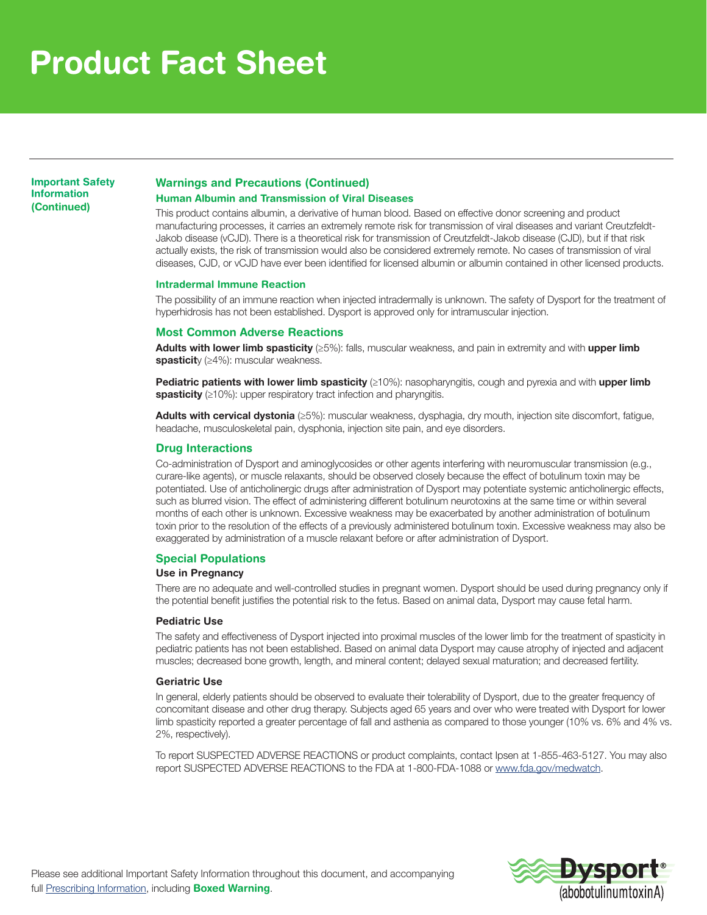# **Product Fact Sheet**

**Important Safety Information (Continued)**

### **Warnings and Precautions (Continued)**

### **Human Albumin and Transmission of Viral Diseases**

This product contains albumin, a derivative of human blood. Based on effective donor screening and product manufacturing processes, it carries an extremely remote risk for transmission of viral diseases and variant Creutzfeldt-Jakob disease (vCJD). There is a theoretical risk for transmission of Creutzfeldt-Jakob disease (CJD), but if that risk actually exists, the risk of transmission would also be considered extremely remote. No cases of transmission of viral diseases, CJD, or vCJD have ever been identified for licensed albumin or albumin contained in other licensed products.

#### **Intradermal Immune Reaction**

The possibility of an immune reaction when injected intradermally is unknown. The safety of Dysport for the treatment of hyperhidrosis has not been established. Dysport is approved only for intramuscular injection.

#### **Most Common Adverse Reactions**

Adults with lower limb spasticity (≥5%): falls, muscular weakness, and pain in extremity and with upper limb spasticity ( $\geq$ 4%): muscular weakness.

Pediatric patients with lower limb spasticity (≥10%): nasopharyngitis, cough and pyrexia and with upper limb spasticity (≥10%): upper respiratory tract infection and pharyngitis.

Adults with cervical dystonia (≥5%): muscular weakness, dysphagia, dry mouth, injection site discomfort, fatigue, headache, musculoskeletal pain, dysphonia, injection site pain, and eye disorders.

#### **Drug Interactions**

Co-administration of Dysport and aminoglycosides or other agents interfering with neuromuscular transmission (e.g., curare-like agents), or muscle relaxants, should be observed closely because the effect of botulinum toxin may be potentiated. Use of anticholinergic drugs after administration of Dysport may potentiate systemic anticholinergic effects, such as blurred vision. The effect of administering different botulinum neurotoxins at the same time or within several months of each other is unknown. Excessive weakness may be exacerbated by another administration of botulinum toxin prior to the resolution of the effects of a previously administered botulinum toxin. Excessive weakness may also be exaggerated by administration of a muscle relaxant before or after administration of Dysport.

### **Special Populations**

#### **Use in Pregnancy**

There are no adequate and well-controlled studies in pregnant women. Dysport should be used during pregnancy only if the potential benefit justifies the potential risk to the fetus. Based on animal data, Dysport may cause fetal harm.

#### **Pediatric Use**

The safety and effectiveness of Dysport injected into proximal muscles of the lower limb for the treatment of spasticity in pediatric patients has not been established. Based on animal data Dysport may cause atrophy of injected and adjacent muscles; decreased bone growth, length, and mineral content; delayed sexual maturation; and decreased fertility.

#### **Geriatric Use**

In general, elderly patients should be observed to evaluate their tolerability of Dysport, due to the greater frequency of concomitant disease and other drug therapy. Subjects aged 65 years and over who were treated with Dysport for lower limb spasticity reported a greater percentage of fall and asthenia as compared to those younger (10% vs. 6% and 4% vs. 2%, respectively).

To report SUSPECTED ADVERSE REACTIONS or product complaints, contact Ipsen at 1-855-463-5127. You may also report SUSPECTED ADVERSE REACTIONS to the FDA at 1-800-FDA-1088 or www.fda.gov/medwatch.